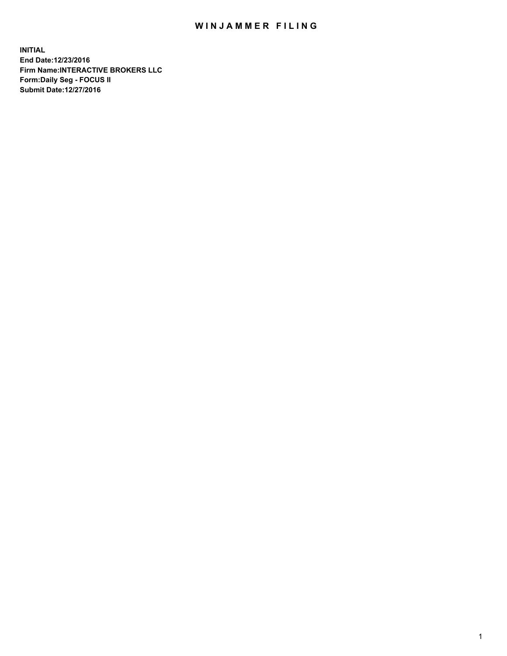## WIN JAMMER FILING

**INITIAL End Date:12/23/2016 Firm Name:INTERACTIVE BROKERS LLC Form:Daily Seg - FOCUS II Submit Date:12/27/2016**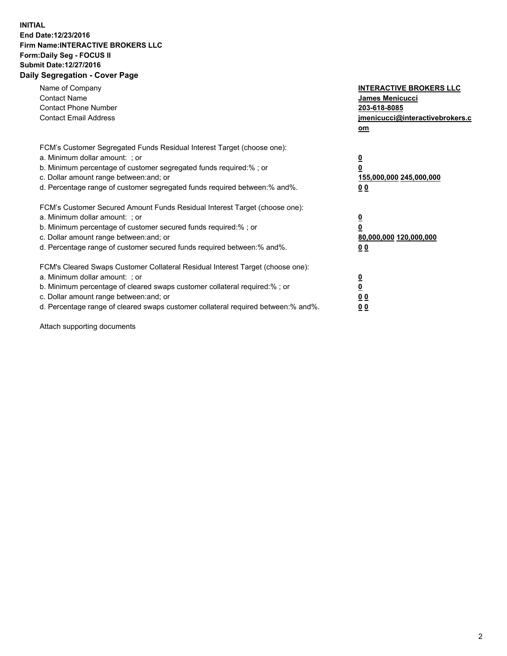## **INITIAL End Date:12/23/2016 Firm Name:INTERACTIVE BROKERS LLC Form:Daily Seg - FOCUS II Submit Date:12/27/2016 Daily Segregation - Cover Page**

| Name of Company<br><b>Contact Name</b><br><b>Contact Phone Number</b><br><b>Contact Email Address</b>                                                                                                                                                                                                                          | <b>INTERACTIVE BROKERS LLC</b><br>James Menicucci<br>203-618-8085<br><u>jmenicucci@interactivebrokers.c</u><br>om |
|--------------------------------------------------------------------------------------------------------------------------------------------------------------------------------------------------------------------------------------------------------------------------------------------------------------------------------|-------------------------------------------------------------------------------------------------------------------|
| FCM's Customer Segregated Funds Residual Interest Target (choose one):<br>a. Minimum dollar amount: ; or<br>b. Minimum percentage of customer segregated funds required:%; or<br>c. Dollar amount range between: and; or<br>d. Percentage range of customer segregated funds required between:% and%.                          | $\overline{\mathbf{0}}$<br>0<br>155,000,000 245,000,000<br>0 <sub>0</sub>                                         |
| FCM's Customer Secured Amount Funds Residual Interest Target (choose one):<br>a. Minimum dollar amount: ; or<br>b. Minimum percentage of customer secured funds required:%; or<br>c. Dollar amount range between: and; or<br>d. Percentage range of customer secured funds required between:% and%.                            | $\overline{\mathbf{0}}$<br>$\overline{\mathbf{0}}$<br>80,000,000 120,000,000<br>00                                |
| FCM's Cleared Swaps Customer Collateral Residual Interest Target (choose one):<br>a. Minimum dollar amount: ; or<br>b. Minimum percentage of cleared swaps customer collateral required:% ; or<br>c. Dollar amount range between: and; or<br>d. Percentage range of cleared swaps customer collateral required between:% and%. | $\overline{\mathbf{0}}$<br>$\overline{\mathbf{0}}$<br>0 <sub>0</sub><br><u>00</u>                                 |

Attach supporting documents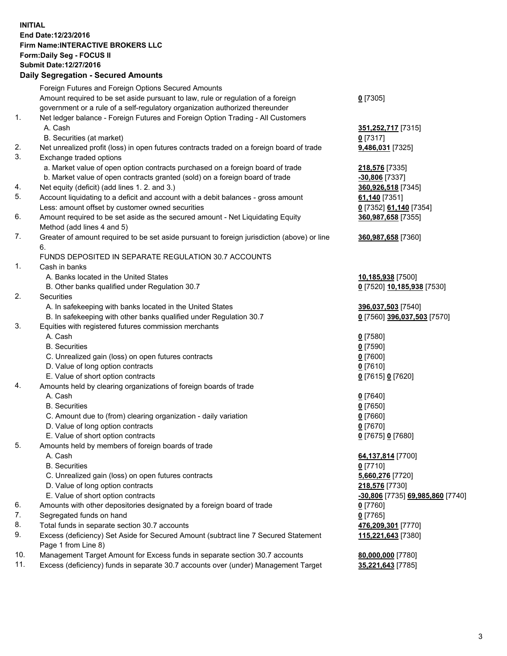## **INITIAL End Date:12/23/2016 Firm Name:INTERACTIVE BROKERS LLC Form:Daily Seg - FOCUS II Submit Date:12/27/2016 Daily Segregation - Secured Amounts**

|     | Daily Segregation - Secured Amounts                                                                        |                                  |
|-----|------------------------------------------------------------------------------------------------------------|----------------------------------|
|     | Foreign Futures and Foreign Options Secured Amounts                                                        |                                  |
|     | Amount required to be set aside pursuant to law, rule or regulation of a foreign                           | $0$ [7305]                       |
|     | government or a rule of a self-regulatory organization authorized thereunder                               |                                  |
| 1.  | Net ledger balance - Foreign Futures and Foreign Option Trading - All Customers                            |                                  |
|     | A. Cash                                                                                                    | 351, 252, 717 [7315]             |
|     | B. Securities (at market)                                                                                  | $0$ [7317]                       |
| 2.  | Net unrealized profit (loss) in open futures contracts traded on a foreign board of trade                  | 9,486,031 [7325]                 |
| 3.  | Exchange traded options                                                                                    |                                  |
|     | a. Market value of open option contracts purchased on a foreign board of trade                             | 218,576 [7335]                   |
|     | b. Market value of open contracts granted (sold) on a foreign board of trade                               | $-30,806$ [7337]                 |
| 4.  | Net equity (deficit) (add lines 1. 2. and 3.)                                                              | 360,926,518 [7345]               |
| 5.  | Account liquidating to a deficit and account with a debit balances - gross amount                          | 61,140 [7351]                    |
|     | Less: amount offset by customer owned securities                                                           | 0 [7352] 61,140 [7354]           |
| 6.  | Amount required to be set aside as the secured amount - Net Liquidating Equity                             | 360,987,658 [7355]               |
|     | Method (add lines 4 and 5)                                                                                 |                                  |
| 7.  | Greater of amount required to be set aside pursuant to foreign jurisdiction (above) or line                | 360,987,658 [7360]               |
|     | 6.                                                                                                         |                                  |
|     | FUNDS DEPOSITED IN SEPARATE REGULATION 30.7 ACCOUNTS                                                       |                                  |
| 1.  | Cash in banks                                                                                              |                                  |
|     | A. Banks located in the United States                                                                      | 10,185,938 [7500]                |
|     | B. Other banks qualified under Regulation 30.7                                                             | 0 [7520] 10,185,938 [7530]       |
| 2.  | <b>Securities</b>                                                                                          |                                  |
|     | A. In safekeeping with banks located in the United States                                                  | 396,037,503 [7540]               |
|     | B. In safekeeping with other banks qualified under Regulation 30.7                                         | 0 [7560] 396,037,503 [7570]      |
| 3.  | Equities with registered futures commission merchants                                                      |                                  |
|     | A. Cash                                                                                                    | $0$ [7580]                       |
|     | <b>B.</b> Securities                                                                                       | $0$ [7590]                       |
|     | C. Unrealized gain (loss) on open futures contracts                                                        | $0$ [7600]                       |
|     | D. Value of long option contracts                                                                          | $0$ [7610]                       |
|     | E. Value of short option contracts                                                                         | 0 [7615] 0 [7620]                |
| 4.  | Amounts held by clearing organizations of foreign boards of trade                                          |                                  |
|     | A. Cash                                                                                                    | $0$ [7640]                       |
|     | <b>B.</b> Securities                                                                                       | $0$ [7650]                       |
|     | C. Amount due to (from) clearing organization - daily variation                                            | $0$ [7660]                       |
|     | D. Value of long option contracts                                                                          | $0$ [7670]                       |
|     | E. Value of short option contracts                                                                         | 0 [7675] 0 [7680]                |
| 5.  | Amounts held by members of foreign boards of trade                                                         |                                  |
|     | A. Cash                                                                                                    | 64, 137, 814 [7700]              |
|     | <b>B.</b> Securities                                                                                       | $0$ [7710]                       |
|     | C. Unrealized gain (loss) on open futures contracts                                                        | 5,660,276 [7720]                 |
|     | D. Value of long option contracts                                                                          | 218,576 [7730]                   |
|     | E. Value of short option contracts                                                                         | -30,806 [7735] 69,985,860 [7740] |
| 6.  | Amounts with other depositories designated by a foreign board of trade                                     | 0 [7760]                         |
| 7.  | Segregated funds on hand                                                                                   | $0$ [7765]                       |
| 8.  | Total funds in separate section 30.7 accounts                                                              | 476,209,301 [7770]               |
| 9.  | Excess (deficiency) Set Aside for Secured Amount (subtract line 7 Secured Statement<br>Page 1 from Line 8) | 115,221,643 [7380]               |
| 10. | Management Target Amount for Excess funds in separate section 30.7 accounts                                | 80,000,000 [7780]                |
| 11. | Excess (deficiency) funds in separate 30.7 accounts over (under) Management Target                         | 35,221,643 [7785]                |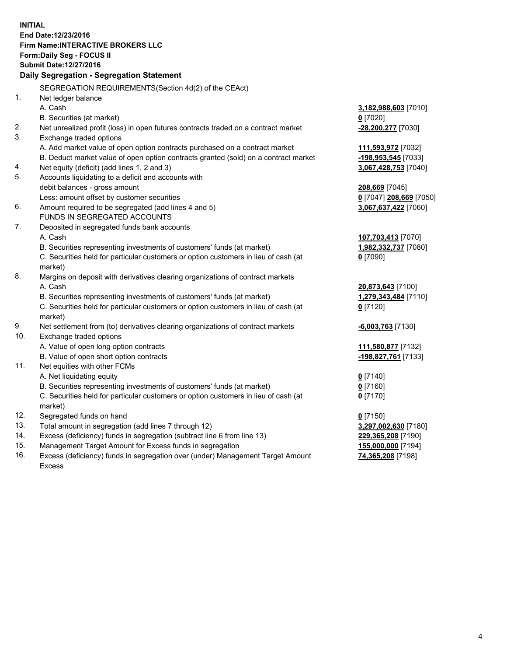**INITIAL End Date:12/23/2016 Firm Name:INTERACTIVE BROKERS LLC Form:Daily Seg - FOCUS II Submit Date:12/27/2016 Daily Segregation - Segregation Statement** SEGREGATION REQUIREMENTS(Section 4d(2) of the CEAct) 1. Net ledger balance A. Cash **3,182,988,603** [7010] B. Securities (at market) **0** [7020] 2. Net unrealized profit (loss) in open futures contracts traded on a contract market **-28,200,277** [7030] 3. Exchange traded options A. Add market value of open option contracts purchased on a contract market **111,593,972** [7032] B. Deduct market value of open option contracts granted (sold) on a contract market **-198,953,545** [7033] 4. Net equity (deficit) (add lines 1, 2 and 3) **3,067,428,753** [7040] 5. Accounts liquidating to a deficit and accounts with debit balances - gross amount **208,669** [7045] Less: amount offset by customer securities **0** [7047] **208,669** [7050] 6. Amount required to be segregated (add lines 4 and 5) **3,067,637,422** [7060] FUNDS IN SEGREGATED ACCOUNTS 7. Deposited in segregated funds bank accounts A. Cash **107,703,413** [7070] B. Securities representing investments of customers' funds (at market) **1,982,332,737** [7080] C. Securities held for particular customers or option customers in lieu of cash (at market) **0** [7090] 8. Margins on deposit with derivatives clearing organizations of contract markets A. Cash **20,873,643** [7100] B. Securities representing investments of customers' funds (at market) **1,279,343,484** [7110] C. Securities held for particular customers or option customers in lieu of cash (at market) **0** [7120] 9. Net settlement from (to) derivatives clearing organizations of contract markets **-6,003,763** [7130] 10. Exchange traded options A. Value of open long option contracts **111,580,877** [7132] B. Value of open short option contracts **-198,827,761** [7133] 11. Net equities with other FCMs A. Net liquidating equity **0** [7140] B. Securities representing investments of customers' funds (at market) **0** [7160] C. Securities held for particular customers or option customers in lieu of cash (at market) **0** [7170] 12. Segregated funds on hand **0** [7150] 13. Total amount in segregation (add lines 7 through 12) **3,297,002,630** [7180] 14. Excess (deficiency) funds in segregation (subtract line 6 from line 13) **229,365,208** [7190] 15. Management Target Amount for Excess funds in segregation **155,000,000** [7194]

16. Excess (deficiency) funds in segregation over (under) Management Target Amount Excess

**74,365,208** [7198]